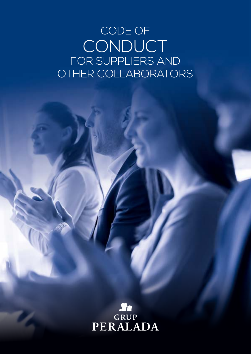# CODE OF CONDUCT FOR SUPPLIERS AND OTHER COLLABORATORS

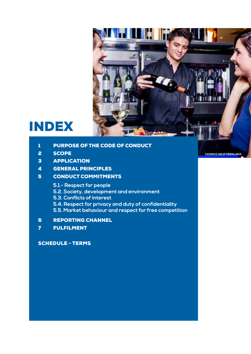

# INDEX

- 1 PURPOSE OF THE CODE OF CONDUCT
- 2 SCOPE
- 3 APPLICATION
- 4 GENERAL PRINCIPLES
- 5 CONDUCT COMMITMENTS
	- **5.1.- Respect for people 5.2. Society, development and environment 5.3. Conflicts of interest 5.4. Respect for privacy and duty of confidentiality 5.5. Market behaviour and respect for free competition**
- 6 REPORTING CHANNEL
- 7 FULFILMENT

#### SCHEDULE - TERMS

**CASINOS GRUP PERALADA**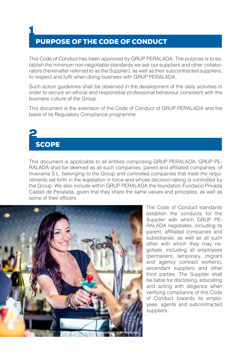### PURPOSE OF THE CODE OF CONDUCT

This Code of Conduct has been approved by GRUP PERALADA. The purpose is to establish the minimum non-negotiable standards we ask our suppliers and other collaborators (hereinafter referred to as the Supplier), as well as their subcontracted suppliers, to respect and fulfil when doing business with GRUP PERALADA.

Such action guidelines shall be observed in the development of the daily activities in order to secure an ethical and responsible professional behaviour consistent with the business culture of the Group.

This document is the extension of the Code of Conduct of GRUP PERALADA and the basis of its Regulatory Compliance programme.

## **SCOPE** 2

1

This document is applicable to all entities comprising GRUP PERALADA. GRUP PE-RALADA shall be deemed as all such companies, parent and affiliated companies, of Inverama S.L. belonging to the Group and controlled companies that meet the requirements set forth in the legislation in force and whose decision-taking is controlled by the Group. We also include within GRUP PERALADA the foundation Fundació Privada Castell de Peralada, given that they share the same values and principles, as well as some of their officers.



The Code of Conduct standards establish the conducts for the Supplier with which GRUP PE-RALADA negotiates, including its parent, affiliated companies and subsidiaries, as well as all such other with which they may negotiate, including all employees (permanent, temporary, migrant and agency contract workers), ascendant suppliers and other third parties. The Supplier shall be liable for disclosing, educating and acting with diligence when verifying compliance of this Code of Conduct towards its employees, agents and subcontracted suppliers.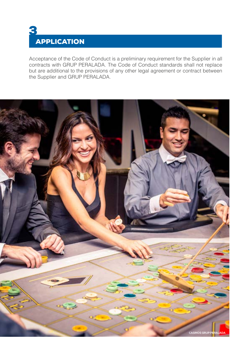

Acceptance of the Code of Conduct is a preliminary requirement for the Supplier in all contracts with GRUP PERALADA. The Code of Conduct standards shall not replace but are additional to the provisions of any other legal agreement or contract between the Supplier and GRUP PERALADA.

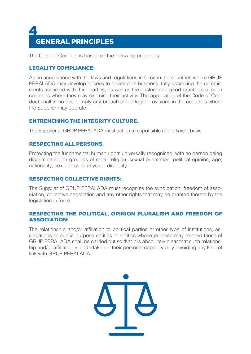## GENERAL PRINCIPLES 4

The Code of Conduct is based on the following principles:

#### LEGALITY COMPLIANCE:

Act in accordance with the laws and regulations in force in the countries where GRUP PERALADA may develop or seek to develop its business, fully observing the commitments assumed with third parties, as well as the custom and good practices of such countries where they may exercise their activity. The application of the Code of Conduct shall in no event imply any breach of the legal provisions in the countries where the Supplier may operate.

#### ENTRENCHING THE INTEGRITY CULTURE:

The Supplier of GRUP PERALADA must act on a responsible and efficient basis.

#### RESPECTING ALL PERSONS,

Protecting the fundamental human rights universally recognised, with no person being discriminated on grounds of race, religion, sexual orientation, political opinion, age, nationality, sex, illness or physical disability.

#### RESPECTING COLLECTIVE RIGHTS:

The Supplier of GRUP PERALADA must recognise the syndication, freedom of association, collective negotiation and any other rights that may be granted thereto by the legislation in force.

#### RESPECTING THE POLITICAL, OPINION PLURALISM AND FREEDOM OF ASSOCIATION:

The relationship and/or affiliation to political parties or other type of institutions, associations or public-purpose entities or entities whose purpose may exceed those of GRUP PERALADA shall be carried out so that it is absolutely clear that such relationship and/or affiliation is undertaken in their personal capacity only, avoiding any kind of link with GRUP PERALADA.

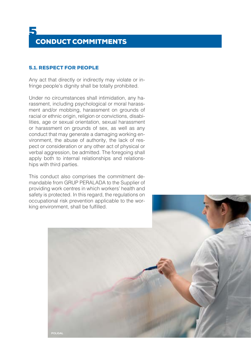### CONDUCT COMMITMENTS 5

#### 5.1. RESPECT FOR PEOPLE

Any act that directly or indirectly may violate or infringe people's dignity shall be totally prohibited.

Under no circumstances shall intimidation, any harassment, including psychological or moral harassment and/or mobbing, harassment on grounds of racial or ethnic origin, religion or convictions, disabilities, age or sexual orientation, sexual harassment or harassment on grounds of sex, as well as any conduct that may generate a damaging working environment, the abuse of authority, the lack of respect or consideration or any other act of physical or verbal aggression, be admitted. The foregoing shall apply both to internal relationships and relationships with third parties.

This conduct also comprises the commitment demandable from GRUP PERALADA to the Supplier of providing work centres in which workers' health and safety is protected. In this regard, the regulations on occupational risk prevention applicable to the working environment, shall be fulfilled.

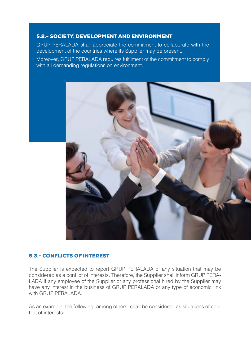#### 5.2.- SOCIETY, DEVELOPMENT AND ENVIRONMENT

GRUP PERALADA shall appreciate the commitment to collaborate with the development of the countries where its Supplier may be present.

Moreover, GRUP PERALADA requires fulfilment of the commitment to comply with all demanding regulations on environment.



#### 5.3.- CONFLICTS OF INTEREST

The Supplier is expected to report GRUP PERALADA of any situation that may be considered as a conflict of interests. Therefore, the Supplier shall inform GRUP PERA-LADA if any employee of the Supplier or any professional hired by the Supplier may have any interest in the business of GRUP PERALADA or any type of economic link with GRUP PERALADA.

As an example, the following, among others, shall be considered as situations of conflict of interests: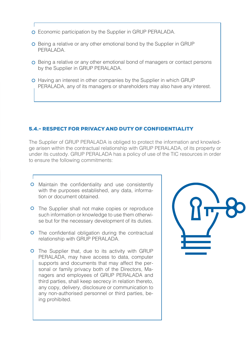- Economic participation by the Supplier in GRUP PERALADA.
- Being a relative or any other emotional bond by the Supplier in GRUP PFRAI ADA.
- Being a relative or any other emotional bond of managers or contact persons by the Supplier in GRUP PERALADA.
- o Having an interest in other companies by the Supplier in which GRUP PERALADA, any of its managers or shareholders may also have any interest.

#### 5.4.- RESPECT FOR PRIVACY AND DUTY OF CONFIDENTIALITY

The Supplier of GRUP PERALADA is obliged to protect the information and knowledge arisen within the contractual relationship with GRUP PERALADA, of its property or under its custody. GRUP PERALADA has a policy of use of the TIC resources in order to ensure the following commitments:

- Maintain the confidentiality and use consistently with the purposes established, any data, information or document obtained.
- The Supplier shall not make copies or reproduce such information or knowledge to use them otherwise but for the necessary development of its duties.
- The confidential obligation during the contractual relationship with GRUP PERALADA.
- The Supplier that, due to its activity with GRUP PERALADA, may have access to data, computer supports and documents that may affect the personal or family privacy both of the Directors, Managers and employees of GRUP PERALADA and third parties, shall keep secrecy in relation thereto, any copy, delivery, disclosure or communication to any non-authorised personnel or third parties, being prohibited.

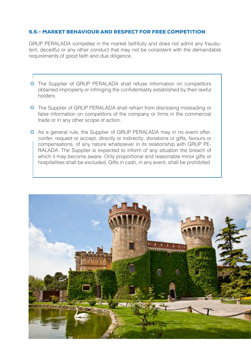#### 5.5.- MARKET BEHAVIOUR AND RESPECT FOR FREE COMPETITION

GRUP PERALADA competes in the market faithfully and does not admit any fraudulent, deceitful or any other conduct that may not be consistent with the demandable requirements of good faith and due diligence.

- The Supplier of GRUP PERALADA shall refuse information on competitors obtained improperly or infringing the confidentiality established by their lawful holders.
- The Supplier of GRUP PERALADA shall refrain from disclosing misleading or false information on competitors of the company or firms in the commercial trade or in any other scope of action.
- As a general rule, the Supplier of GRUP PERALADA may in no event offer, confer, request or accept, directly or indirectly, donations or gifts, favours or compensations, of any nature whatsoever in its relationship with GRUP PE-RALADA. The Supplier is expected to inform of any situation the breach of which it may become aware. Only proportional and reasonable minor gifts or hospitalities shall be excluded. Gifts in cash, in any event, shall be prohibited.

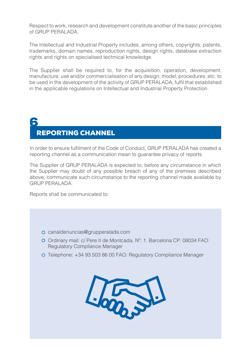Respect to work, research and development constitute another of the basic principles of GRUP PERALADA.

The Intellectual and Industrial Property includes, among others, copyrights, patents, trademarks, domain names, reproduction rights, design rights, database extraction rights and rights on specialised technical knowledge.

The Supplier shall be required to, for the acquisition, operation, development, manufacture, use and/or commercialisation of any design, model, procedures, etc. to be used in the development of the activity of GRUP PERALADA, fulfil that established in the applicable regulations on Intellectual and Industrial Property Protection.

## REPORTING CHANNEL 6

In order to ensure fulfilment of the Code of Conduct, GRUP PERALADA has created a reporting channel as a communication mean to guarantee privacy of reports.

The Supplier of GRUP PERALADA is expected to, before any circumstance in which the Supplier may doubt of any possible breach of any of the premises described above, communicate such circumstance to the reporting channel made available by GRUP PERALADA.

Reports shall be communicated to:

- canaldenuncias@grupperalada.com
- Ordinary mail: c/ Pere II de Montcada, Nº: 1. Barcelona CP: 08034 FAO: Regulatory Compliance Manager
- Telephone: +34 93 503 86 00 FAO: Regulatory Compliance Manager

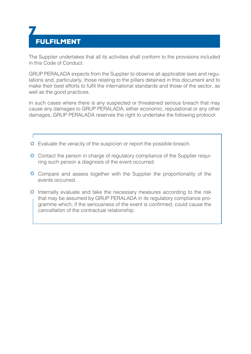### FULFILMENT 7

The Supplier undertakes that all its activities shall conform to the provisions included in this Code of Conduct.

GRUP PERALADA expects from the Supplier to observe all applicable laws and regulations and, particularly, those relating to the pillars detained in this document and to make their best efforts to fulfil the international standards and those of the sector, as well as the good practices.

In such cases where there is any suspected or threatened serious breach that may cause any damages to GRUP PERALADA, either economic, reputational or any other damages, GRUP PERALADA reserves the right to undertake the following protocol:

- Evaluate the veracity of the suspicion or report the possible breach.
- Contact the person in charge of regulatory compliance of the Supplier requiring such person a diagnosis of the event occurred.
- Compare and assess together with the Supplier the proportionality of the events occurred.
- Internally evaluate and take the necessary measures according to the risk that may be assumed by GRUP PERALADA in its regulatory compliance programme which, if the seriousness of the event is confirmed, could cause the cancellation of the contractual relationship.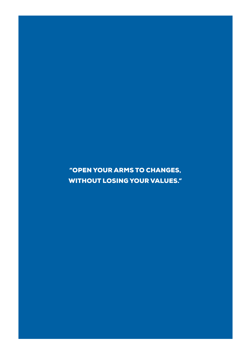"OPEN YOUR ARMS TO CHANGES, WITHOUT LOSING YOUR VALUES."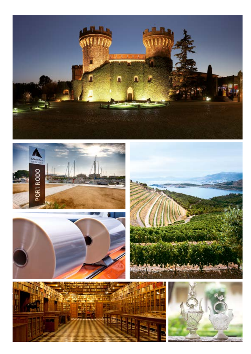









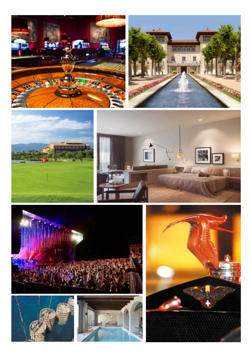







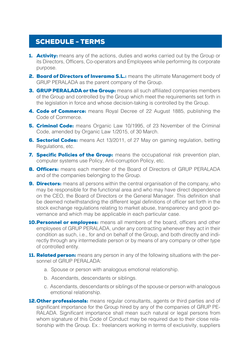### SCHEDULE - TERMS

- **1. Activity:** means any of the actions, duties and works carried out by the Group or its Directors, Officers, Co-operators and Employees while performing its corporate purpose.
- 2. Board of Directors of Inverama S.L.: means the ultimate Management body of GRUP PERALADA as the parent company of the Group.
- **3. GRUP PERALADA or the Group:** means all such affiliated companies members of the Group and controlled by the Group which meet the requirements set forth in the legislation in force and whose decision-taking is controlled by the Group.
- **4. Code of Commerce:** means Royal Decree of 22 August 1885, publishing the Code of Commerce.
- **5. Criminal Code:** means Organic Law 10/1995, of 23 November of the Criminal Code, amended by Organic Law 1/2015, of 30 March.
- **6. Sectorial Codes:** means Act 13/2011, of 27 May on gaming regulation, betting Regulations, etc.
- **7. Specific Policies of the Group:** means the occupational risk prevention plan, computer systems use Policy, Anti-corruption Policy, etc.
- 8. Officers: means each member of the Board of Directors of GRUP PERALADA and of the companies belonging to the Group.
- **9. Directors:** means all persons within the central organisation of the company, who may be responsible for the functional area and who may have direct dependence on the CEO, the Board of Directors or the General Manager. This definition shall be deemed notwithstanding the different legal definitions of officer set forth in the stock exchange regulations relating to market abuse, transparency and good governance and which may be applicable in each particular case.
- **10. Personnel or employees:** means all members of the board, officers and other employees of GRUP PERALADA, under any contracting whenever they act in their condition as such, i.e., for and on behalf of the Group, and both directly and indirectly through any intermediate person or by means of any company or other type of controlled entity.
- **11. Related person:** means any person in any of the following situations with the personnel of GRUP PERALADA:
	- a. Spouse or person with analogous emotional relationship.
	- b. Ascendants, descendants or siblings.
	- c. Ascendants, descendants or siblings of the spouse or person with analogous emotional relationship.
- **12. Other professionals:** means regular consultants, agents or third parties and of significant importance for the Group hired by any of the companies of GRUP PE-RALADA. Significant importance shall mean such natural or legal persons from whom signature of this Code of Conduct may be required due to their close relationship with the Group. Ex.: freelancers working in terms of exclusivity, suppliers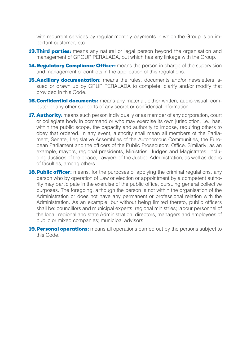with recurrent services by regular monthly payments in which the Group is an important customer, etc.

- **13. Third parties:** means any natural or legal person beyond the organisation and management of GROUP PERALADA, but which has any linkage with the Group.
- **14. Regulatory Compliance Officer:** means the person in charge of the supervision and management of conflicts in the application of this regulations.
- 15. Ancillary documentation: means the rules, documents and/or newsletters issued or drawn up by GRUP PERALADA to complete, clarify and/or modify that provided in this Code.
- 16. Confidential documents: means any material, either written, audio-visual, computer or any other supports of any secret or confidential information.
- **17. Authority:** means such person individually or as member of any corporation, court or collegiate body in command or who may exercise its own jurisdiction, i.e., has, within the public scope, the capacity and authority to impose, requiring others to obey that ordered. In any event, authority shall mean all members of the Parliament, Senate, Legislative Assemblies of the Autonomous Communities, the European Parliament and the officers of the Public Prosecutors' Office. Similarly, as an example, mayors, regional presidents, Ministries, Judges and Magistrates, including Justices of the peace, Lawyers of the Justice Administration, as well as deans of faculties, among others.
- **18. Public officer:** means, for the purposes of applying the criminal regulations, any person who by operation of Law or election or appointment by a competent authority may participate in the exercise of the public office, pursuing general collective purposes. The foregoing, although the person is not within the organisation of the Administration or does not have any permanent or professional relation with the Administration. As an example, but without being limited thereto, public officers shall be: councillors and municipal experts; regional ministries; labour personnel of the local, regional and state Administration; directors, managers and employees of public or mixed companies; municipal advisors.
- **19. Personal operations:** means all operations carried out by the persons subject to this Code.